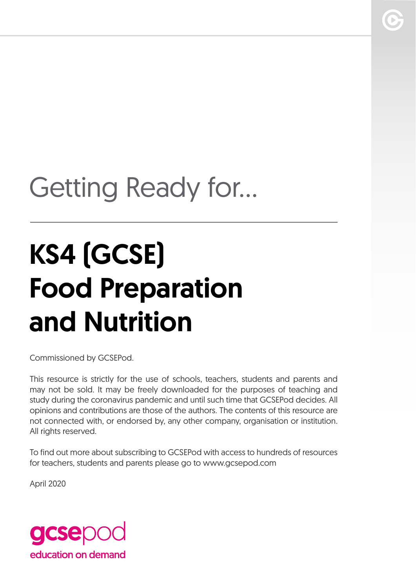# Getting Ready for...

# KS4 (GCSE) Food Preparation and Nutrition

Commissioned by GCSEPod.

This resource is strictly for the use of schools, teachers, students and parents and may not be sold. It may be freely downloaded for the purposes of teaching and study during the coronavirus pandemic and until such time that GCSEPod decides. All opinions and contributions are those of the authors. The contents of this resource are not connected with, or endorsed by, any other company, organisation or institution. All rights reserved.

To find out more about subscribing to GCSEPod with access to hundreds of resources for teachers, students and parents please go to www.gcsepod.com

April 2020

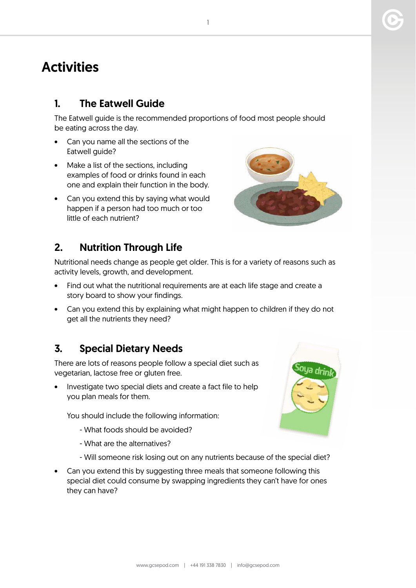# **Activities**

#### 1. The Eatwell Guide

The Eatwell guide is the recommended proportions of food most people should be eating across the day.

- Can you name all the sections of the Eatwell guide?
- Make a list of the sections, including examples of food or drinks found in each one and explain their function in the body.
- Can you extend this by saying what would happen if a person had too much or too little of each nutrient?

## 2. Nutrition Through Life

Nutritional needs change as people get older. This is for a variety of reasons such as activity levels, growth, and development.

- Find out what the nutritional requirements are at each life stage and create a story board to show your findings.
- Can you extend this by explaining what might happen to children if they do not get all the nutrients they need?

### 3. Special Dietary Needs

There are lots of reasons people follow a special diet such as vegetarian, lactose free or gluten free.

Investigate two special diets and create a fact file to help you plan meals for them.

You should include the following information:

- What foods should be avoided?
- What are the alternatives?
- Will someone risk losing out on any nutrients because of the special diet?
- Can you extend this by suggesting three meals that someone following this special diet could consume by swapping ingredients they can't have for ones they can have?



1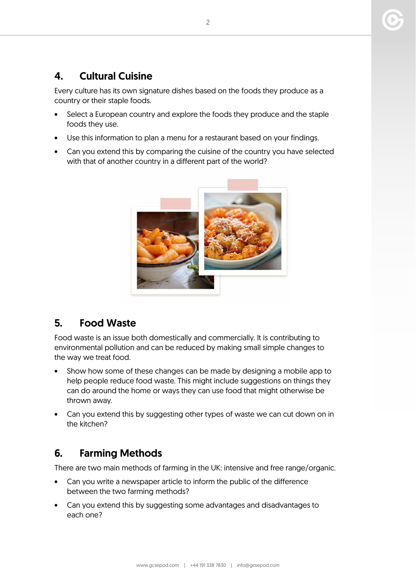#### 4. Cultural Cuisine

Every culture has its own signature dishes based on the foods they produce as a country or their staple foods.

- Select a European country and explore the foods they produce and the staple foods they use.
- Use this information to plan a menu for a restaurant based on your findings.
- Can you extend this by comparing the cuisine of the country you have selected with that of another country in a different part of the world?



#### 5. Food Waste

Food waste is an issue both domestically and commercially. It is contributing to environmental pollution and can be reduced by making small simple changes to the way we treat food.

- Show how some of these changes can be made by designing a mobile app to help people reduce food waste. This might include suggestions on things they can do around the home or ways they can use food that might otherwise be thrown away.
- Can you extend this by suggesting other types of waste we can cut down on in the kitchen?

#### 6. Farming Methods

There are two main methods of farming in the UK: intensive and free range/organic.

- Can you write a newspaper article to inform the public of the difference between the two farming methods?
- Can you extend this by suggesting some advantages and disadvantages to each one?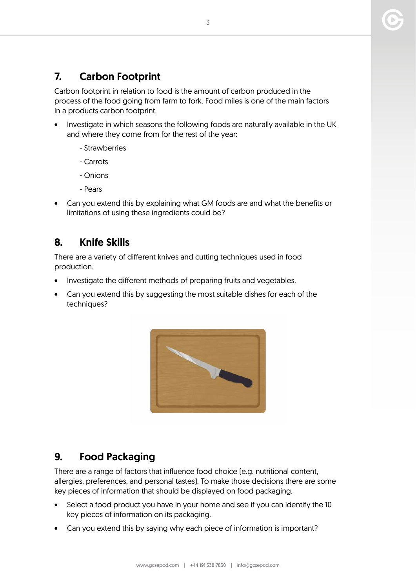#### 7. Carbon Footprint

Carbon footprint in relation to food is the amount of carbon produced in the process of the food going from farm to fork. Food miles is one of the main factors in a products carbon footprint.

- Investigate in which seasons the following foods are naturally available in the UK and where they come from for the rest of the year:
	- Strawberries
	- Carrots
	- Onions
	- Pears
- Can you extend this by explaining what GM foods are and what the benefits or limitations of using these ingredients could be?

#### 8. Knife Skills

There are a variety of different knives and cutting techniques used in food production.

- Investigate the different methods of preparing fruits and vegetables.
- Can you extend this by suggesting the most suitable dishes for each of the techniques?



#### 9. Food Packaging

There are a range of factors that influence food choice (e.g. nutritional content, allergies, preferences, and personal tastes). To make those decisions there are some key pieces of information that should be displayed on food packaging.

- Select a food product you have in your home and see if you can identify the 10 key pieces of information on its packaging.
- Can you extend this by saying why each piece of information is important?